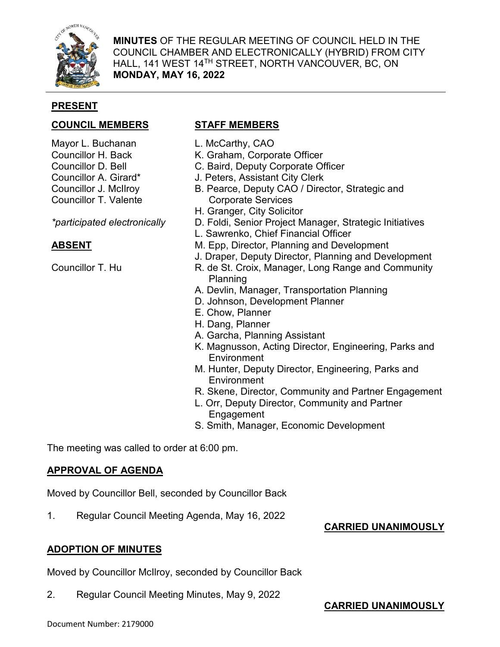

**MINUTES** OF THE REGULAR MEETING OF COUNCIL HELD IN THE COUNCIL CHAMBER AND ELECTRONICALLY (HYBRID) FROM CITY HALL, 141 WEST 14TH STREET, NORTH VANCOUVER, BC, ON **MONDAY, MAY 16, 2022**

## **PRESENT**

# **COUNCIL MEMBERS STAFF MEMBERS**

- Mayor L. Buchanan
- Councillor H. Back
- Councillor D. Bell
- Councillor A. Girard\*
- Councillor J. McIlroy
- Councillor T. Valente

*\*participated electronically*

# **ABSENT**

Councillor T. Hu

- L. McCarthy, CAO
- K. Graham, Corporate Officer
- C. Baird, Deputy Corporate Officer
- J. Peters, Assistant City Clerk
- B. Pearce, Deputy CAO / Director, Strategic and Corporate Services
- H. Granger, City Solicitor
- D. Foldi, Senior Project Manager, Strategic Initiatives
- L. Sawrenko, Chief Financial Officer
- M. Epp, Director, Planning and Development
- J. Draper, Deputy Director, Planning and Development
- R. de St. Croix, Manager, Long Range and Community Planning
- A. Devlin, Manager, Transportation Planning
- D. Johnson, Development Planner
- E. Chow, Planner
- H. Dang, Planner
- A. Garcha, Planning Assistant
- K. Magnusson, Acting Director, Engineering, Parks and **Environment**
- M. Hunter, Deputy Director, Engineering, Parks and **Environment**
- R. Skene, Director, Community and Partner Engagement
- L. Orr, Deputy Director, Community and Partner Engagement
- S. Smith, Manager, Economic Development

The meeting was called to order at 6:00 pm.

# **APPROVAL OF AGENDA**

Moved by Councillor Bell, seconded by Councillor Back

1. Regular Council Meeting Agenda, May 16, 2022

# **CARRIED UNANIMOUSLY**

# **ADOPTION OF MINUTES**

Moved by Councillor McIlroy, seconded by Councillor Back

2. Regular Council Meeting Minutes, May 9, 2022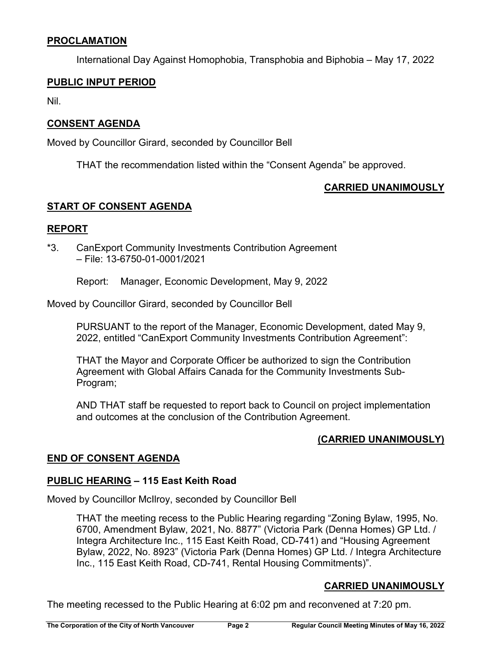# **PROCLAMATION**

International Day Against Homophobia, Transphobia and Biphobia – May 17, 2022

#### **PUBLIC INPUT PERIOD**

Nil.

## **CONSENT AGENDA**

Moved by Councillor Girard, seconded by Councillor Bell

THAT the recommendation listed within the "Consent Agenda" be approved.

# **CARRIED UNANIMOUSLY**

## **START OF CONSENT AGENDA**

### **REPORT**

\*3. CanExport Community Investments Contribution Agreement – File: 13-6750-01-0001/2021

Report: Manager, Economic Development, May 9, 2022

Moved by Councillor Girard, seconded by Councillor Bell

PURSUANT to the report of the Manager, Economic Development, dated May 9, 2022, entitled "CanExport Community Investments Contribution Agreement":

THAT the Mayor and Corporate Officer be authorized to sign the Contribution Agreement with Global Affairs Canada for the Community Investments Sub-Program;

AND THAT staff be requested to report back to Council on project implementation and outcomes at the conclusion of the Contribution Agreement.

# **(CARRIED UNANIMOUSLY)**

# **END OF CONSENT AGENDA**

### **PUBLIC HEARING – 115 East Keith Road**

Moved by Councillor McIlroy, seconded by Councillor Bell

THAT the meeting recess to the Public Hearing regarding "Zoning Bylaw, 1995, No. 6700, Amendment Bylaw, 2021, No. 8877" (Victoria Park (Denna Homes) GP Ltd. / Integra Architecture Inc., 115 East Keith Road, CD-741) and "Housing Agreement Bylaw, 2022, No. 8923" (Victoria Park (Denna Homes) GP Ltd. / Integra Architecture Inc., 115 East Keith Road, CD-741, Rental Housing Commitments)".

# **CARRIED UNANIMOUSLY**

The meeting recessed to the Public Hearing at 6:02 pm and reconvened at 7:20 pm.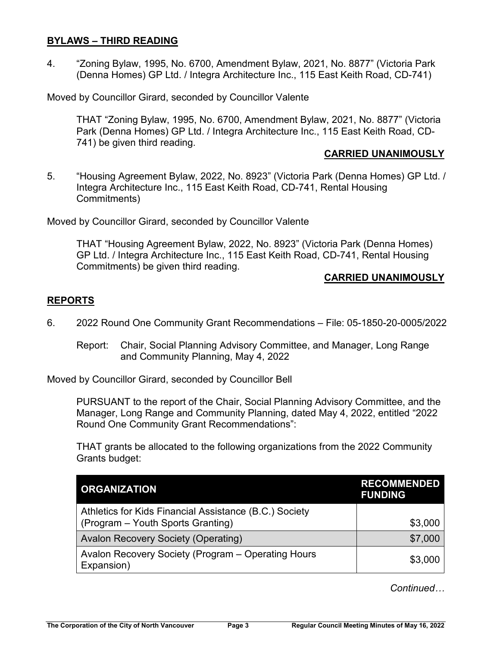### **BYLAWS – THIRD READING**

4. "Zoning Bylaw, 1995, No. 6700, Amendment Bylaw, 2021, No. 8877" (Victoria Park (Denna Homes) GP Ltd. / Integra Architecture Inc., 115 East Keith Road, CD-741)

Moved by Councillor Girard, seconded by Councillor Valente

THAT "Zoning Bylaw, 1995, No. 6700, Amendment Bylaw, 2021, No. 8877" (Victoria Park (Denna Homes) GP Ltd. / Integra Architecture Inc., 115 East Keith Road, CD-741) be given third reading.

#### **CARRIED UNANIMOUSLY**

5. "Housing Agreement Bylaw, 2022, No. 8923" (Victoria Park (Denna Homes) GP Ltd. / Integra Architecture Inc., 115 East Keith Road, CD-741, Rental Housing Commitments)

Moved by Councillor Girard, seconded by Councillor Valente

THAT "Housing Agreement Bylaw, 2022, No. 8923" (Victoria Park (Denna Homes) GP Ltd. / Integra Architecture Inc., 115 East Keith Road, CD-741, Rental Housing Commitments) be given third reading.

## **CARRIED UNANIMOUSLY**

## **REPORTS**

- 6. 2022 Round One Community Grant Recommendations File: 05-1850-20-0005/2022
	- Report: Chair, Social Planning Advisory Committee, and Manager, Long Range and Community Planning, May 4, 2022

Moved by Councillor Girard, seconded by Councillor Bell

PURSUANT to the report of the Chair, Social Planning Advisory Committee, and the Manager, Long Range and Community Planning, dated May 4, 2022, entitled "2022 Round One Community Grant Recommendations":

THAT grants be allocated to the following organizations from the 2022 Community Grants budget:

| <b>ORGANIZATION</b>                                                                         | <b>RECOMMENDED</b><br><b>FUNDING</b> |
|---------------------------------------------------------------------------------------------|--------------------------------------|
| Athletics for Kids Financial Assistance (B.C.) Society<br>(Program - Youth Sports Granting) | \$3,000                              |
| <b>Avalon Recovery Society (Operating)</b>                                                  | \$7,000                              |
| Avalon Recovery Society (Program – Operating Hours<br>Expansion)                            | \$3,000                              |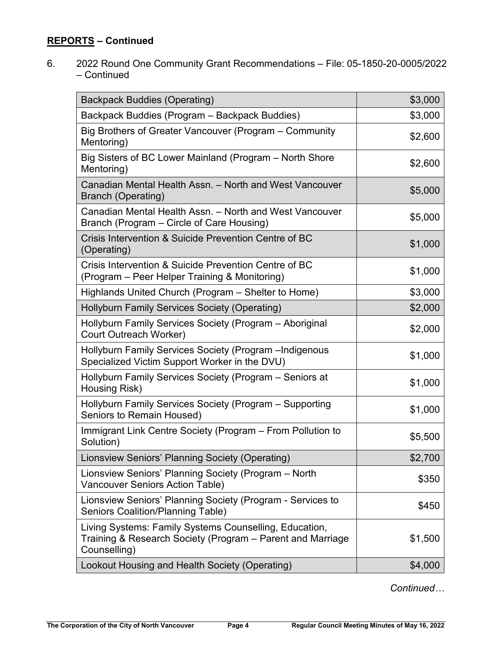6. 2022 Round One Community Grant Recommendations – File: 05-1850-20-0005/2022 – Continued

| <b>Backpack Buddies (Operating)</b>                                                                                                  | \$3,000 |
|--------------------------------------------------------------------------------------------------------------------------------------|---------|
| Backpack Buddies (Program – Backpack Buddies)                                                                                        | \$3,000 |
| Big Brothers of Greater Vancouver (Program – Community<br>Mentoring)                                                                 | \$2,600 |
| Big Sisters of BC Lower Mainland (Program – North Shore<br>Mentoring)                                                                | \$2,600 |
| Canadian Mental Health Assn. - North and West Vancouver<br><b>Branch (Operating)</b>                                                 | \$5,000 |
| Canadian Mental Health Assn. - North and West Vancouver<br>Branch (Program – Circle of Care Housing)                                 | \$5,000 |
| Crisis Intervention & Suicide Prevention Centre of BC<br>(Operating)                                                                 | \$1,000 |
| Crisis Intervention & Suicide Prevention Centre of BC<br>(Program – Peer Helper Training & Monitoring)                               | \$1,000 |
| Highlands United Church (Program – Shelter to Home)                                                                                  | \$3,000 |
| Hollyburn Family Services Society (Operating)                                                                                        | \$2,000 |
| Hollyburn Family Services Society (Program - Aboriginal<br>Court Outreach Worker)                                                    | \$2,000 |
| Hollyburn Family Services Society (Program -Indigenous<br>Specialized Victim Support Worker in the DVU)                              | \$1,000 |
| Hollyburn Family Services Society (Program - Seniors at<br>Housing Risk)                                                             | \$1,000 |
| Hollyburn Family Services Society (Program - Supporting<br>Seniors to Remain Housed)                                                 | \$1,000 |
| Immigrant Link Centre Society (Program – From Pollution to<br>Solution)                                                              | \$5,500 |
| Lionsview Seniors' Planning Society (Operating)                                                                                      | \$2,700 |
| Lionsview Seniors' Planning Society (Program - North<br><b>Vancouver Seniors Action Table)</b>                                       | \$350   |
| Lionsview Seniors' Planning Society (Program - Services to<br><b>Seniors Coalition/Planning Table)</b>                               | \$450   |
| Living Systems: Family Systems Counselling, Education,<br>Training & Research Society (Program – Parent and Marriage<br>Counselling) | \$1,500 |
| Lookout Housing and Health Society (Operating)                                                                                       | \$4,000 |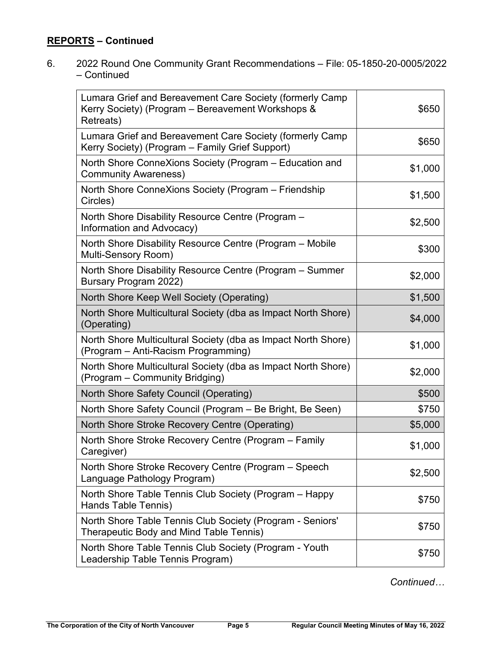6. 2022 Round One Community Grant Recommendations – File: 05-1850-20-0005/2022 – Continued

| Lumara Grief and Bereavement Care Society (formerly Camp<br>Kerry Society) (Program - Bereavement Workshops &<br>Retreats) | \$650   |
|----------------------------------------------------------------------------------------------------------------------------|---------|
| Lumara Grief and Bereavement Care Society (formerly Camp<br>Kerry Society) (Program – Family Grief Support)                | \$650   |
| North Shore ConneXions Society (Program – Education and<br><b>Community Awareness)</b>                                     | \$1,000 |
| North Shore ConneXions Society (Program – Friendship<br>Circles)                                                           | \$1,500 |
| North Shore Disability Resource Centre (Program -<br>Information and Advocacy)                                             | \$2,500 |
| North Shore Disability Resource Centre (Program – Mobile<br>Multi-Sensory Room)                                            | \$300   |
| North Shore Disability Resource Centre (Program – Summer<br>Bursary Program 2022)                                          | \$2,000 |
| North Shore Keep Well Society (Operating)                                                                                  | \$1,500 |
| North Shore Multicultural Society (dba as Impact North Shore)<br>(Operating)                                               | \$4,000 |
| North Shore Multicultural Society (dba as Impact North Shore)<br>(Program – Anti-Racism Programming)                       | \$1,000 |
| North Shore Multicultural Society (dba as Impact North Shore)<br>(Program – Community Bridging)                            | \$2,000 |
| North Shore Safety Council (Operating)                                                                                     | \$500   |
| North Shore Safety Council (Program – Be Bright, Be Seen)                                                                  | \$750   |
| North Shore Stroke Recovery Centre (Operating)                                                                             | \$5,000 |
| North Shore Stroke Recovery Centre (Program - Family<br>Caregiver)                                                         | \$1,000 |
| North Shore Stroke Recovery Centre (Program – Speech<br>Language Pathology Program)                                        | \$2,500 |
| North Shore Table Tennis Club Society (Program – Happy<br>Hands Table Tennis)                                              | \$750   |
| North Shore Table Tennis Club Society (Program - Seniors'<br>Therapeutic Body and Mind Table Tennis)                       | \$750   |
| North Shore Table Tennis Club Society (Program - Youth<br>Leadership Table Tennis Program)                                 | \$750   |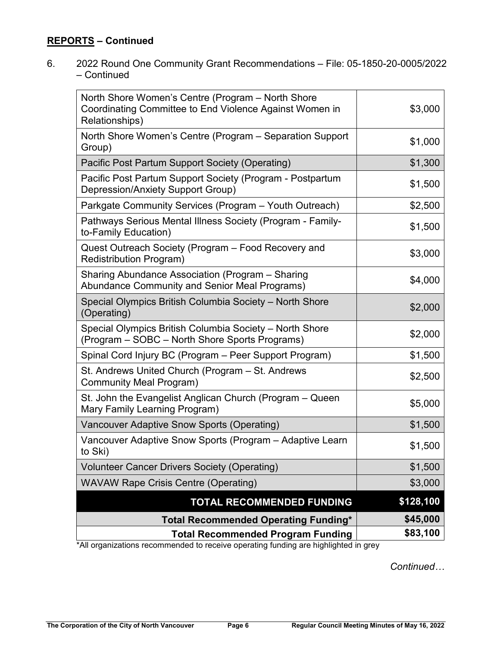6. 2022 Round One Community Grant Recommendations – File: 05-1850-20-0005/2022 – Continued

| North Shore Women's Centre (Program – North Shore<br>Coordinating Committee to End Violence Against Women in<br>Relationships)  | \$3,000   |
|---------------------------------------------------------------------------------------------------------------------------------|-----------|
| North Shore Women's Centre (Program - Separation Support<br>Group)                                                              | \$1,000   |
| Pacific Post Partum Support Society (Operating)                                                                                 | \$1,300   |
| Pacific Post Partum Support Society (Program - Postpartum<br>Depression/Anxiety Support Group)                                  | \$1,500   |
| Parkgate Community Services (Program - Youth Outreach)                                                                          | \$2,500   |
| Pathways Serious Mental Illness Society (Program - Family-<br>to-Family Education)                                              | \$1,500   |
| Quest Outreach Society (Program – Food Recovery and<br><b>Redistribution Program)</b>                                           | \$3,000   |
| Sharing Abundance Association (Program - Sharing<br><b>Abundance Community and Senior Meal Programs)</b>                        | \$4,000   |
| Special Olympics British Columbia Society - North Shore<br>(Operating)                                                          | \$2,000   |
| Special Olympics British Columbia Society - North Shore<br>(Program – SOBC – North Shore Sports Programs)                       | \$2,000   |
| Spinal Cord Injury BC (Program – Peer Support Program)                                                                          | \$1,500   |
| St. Andrews United Church (Program - St. Andrews<br>Community Meal Program)                                                     | \$2,500   |
| St. John the Evangelist Anglican Church (Program – Queen<br>Mary Family Learning Program)                                       | \$5,000   |
| Vancouver Adaptive Snow Sports (Operating)                                                                                      | \$1,500   |
| Vancouver Adaptive Snow Sports (Program - Adaptive Learn<br>to Ski)                                                             | \$1,500   |
| <b>Volunteer Cancer Drivers Society (Operating)</b>                                                                             | \$1,500   |
| <b>WAVAW Rape Crisis Centre (Operating)</b>                                                                                     | \$3,000   |
| <b>TOTAL RECOMMENDED FUNDING</b>                                                                                                | \$128,100 |
| <b>Total Recommended Operating Funding*</b>                                                                                     | \$45,000  |
| <b>Total Recommended Program Funding</b><br>*All organizations recommended to receive operating funding are highlighted in grev | \$83,100  |

\*All organizations recommended to receive operating funding are highlighted in grey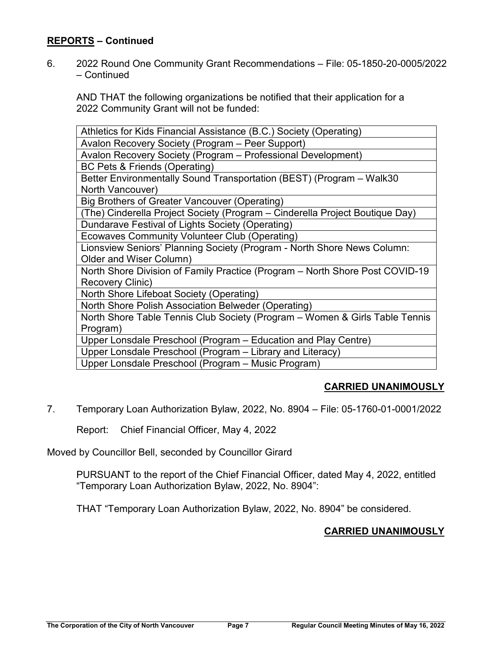6. 2022 Round One Community Grant Recommendations – File: 05-1850-20-0005/2022 – Continued

AND THAT the following organizations be notified that their application for a 2022 Community Grant will not be funded:

| Athletics for Kids Financial Assistance (B.C.) Society (Operating)           |
|------------------------------------------------------------------------------|
| Avalon Recovery Society (Program - Peer Support)                             |
| Avalon Recovery Society (Program - Professional Development)                 |
| BC Pets & Friends (Operating)                                                |
| Better Environmentally Sound Transportation (BEST) (Program - Walk30         |
| North Vancouver)                                                             |
| Big Brothers of Greater Vancouver (Operating)                                |
| (The) Cinderella Project Society (Program - Cinderella Project Boutique Day) |
| Dundarave Festival of Lights Society (Operating)                             |
| Ecowaves Community Volunteer Club (Operating)                                |
| Lionsview Seniors' Planning Society (Program - North Shore News Column:      |
| Older and Wiser Column)                                                      |
| North Shore Division of Family Practice (Program – North Shore Post COVID-19 |
| Recovery Clinic)                                                             |
| North Shore Lifeboat Society (Operating)                                     |
| North Shore Polish Association Belweder (Operating)                          |
| North Shore Table Tennis Club Society (Program – Women & Girls Table Tennis  |
| Program)                                                                     |
| Upper Lonsdale Preschool (Program – Education and Play Centre)               |
| Upper Lonsdale Preschool (Program - Library and Literacy)                    |
| Upper Lonsdale Preschool (Program - Music Program)                           |

# **CARRIED UNANIMOUSLY**

7. Temporary Loan Authorization Bylaw, 2022, No. 8904 – File: 05-1760-01-0001/2022

Report: Chief Financial Officer, May 4, 2022

Moved by Councillor Bell, seconded by Councillor Girard

PURSUANT to the report of the Chief Financial Officer, dated May 4, 2022, entitled "Temporary Loan Authorization Bylaw, 2022, No. 8904":

THAT "Temporary Loan Authorization Bylaw, 2022, No. 8904" be considered.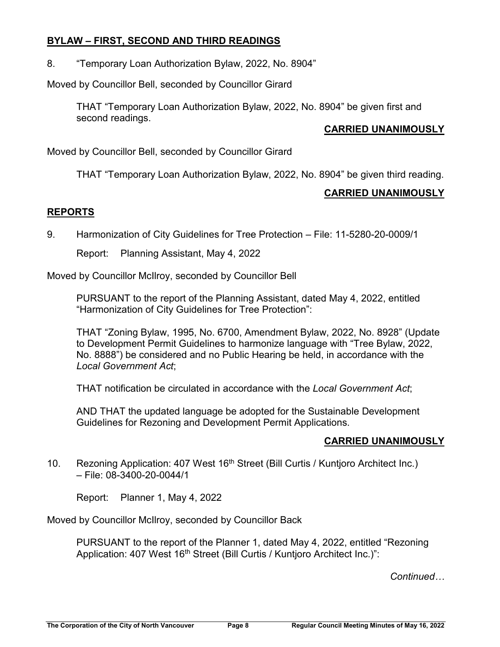## **BYLAW – FIRST, SECOND AND THIRD READINGS**

8. "Temporary Loan Authorization Bylaw, 2022, No. 8904"

Moved by Councillor Bell, seconded by Councillor Girard

THAT "Temporary Loan Authorization Bylaw, 2022, No. 8904" be given first and second readings.

## **CARRIED UNANIMOUSLY**

Moved by Councillor Bell, seconded by Councillor Girard

THAT "Temporary Loan Authorization Bylaw, 2022, No. 8904" be given third reading.

### **CARRIED UNANIMOUSLY**

## **REPORTS**

9. Harmonization of City Guidelines for Tree Protection – File: 11-5280-20-0009/1

Report: Planning Assistant, May 4, 2022

Moved by Councillor McIlroy, seconded by Councillor Bell

PURSUANT to the report of the Planning Assistant, dated May 4, 2022, entitled "Harmonization of City Guidelines for Tree Protection":

THAT "Zoning Bylaw, 1995, No. 6700, Amendment Bylaw, 2022, No. 8928" (Update to Development Permit Guidelines to harmonize language with "Tree Bylaw, 2022, No. 8888") be considered and no Public Hearing be held, in accordance with the *Local Government Act*;

THAT notification be circulated in accordance with the *Local Government Act*;

AND THAT the updated language be adopted for the Sustainable Development Guidelines for Rezoning and Development Permit Applications.

# **CARRIED UNANIMOUSLY**

10. Rezoning Application: 407 West 16<sup>th</sup> Street (Bill Curtis / Kuntioro Architect Inc.) – File: 08-3400-20-0044/1

Report: Planner 1, May 4, 2022

Moved by Councillor McIlroy, seconded by Councillor Back

PURSUANT to the report of the Planner 1, dated May 4, 2022, entitled "Rezoning Application: 407 West 16<sup>th</sup> Street (Bill Curtis / Kuntjoro Architect Inc.)":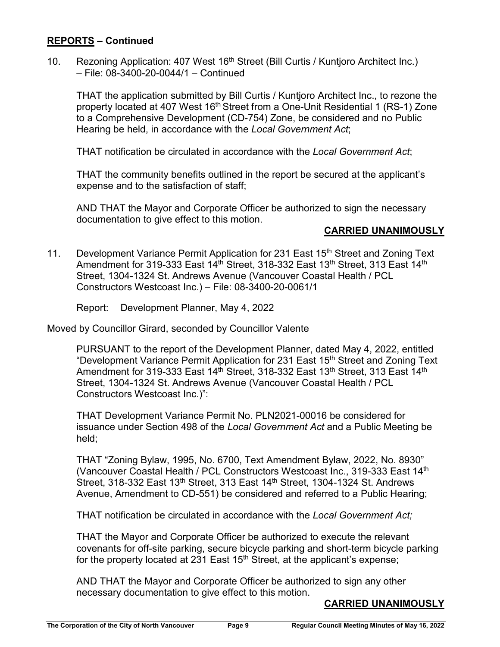10. Rezoning Application: 407 West 16<sup>th</sup> Street (Bill Curtis / Kuntjoro Architect Inc.) – File: 08-3400-20-0044/1 – Continued

THAT the application submitted by Bill Curtis / Kuntjoro Architect Inc., to rezone the property located at 407 West 16<sup>th</sup> Street from a One-Unit Residential 1 (RS-1) Zone to a Comprehensive Development (CD-754) Zone, be considered and no Public Hearing be held, in accordance with the *Local Government Act*;

THAT notification be circulated in accordance with the *Local Government Act*;

THAT the community benefits outlined in the report be secured at the applicant's expense and to the satisfaction of staff;

AND THAT the Mayor and Corporate Officer be authorized to sign the necessary documentation to give effect to this motion.

#### **CARRIED UNANIMOUSLY**

11. Development Variance Permit Application for 231 East 15<sup>th</sup> Street and Zoning Text Amendment for 319-333 East 14<sup>th</sup> Street, 318-332 East 13<sup>th</sup> Street, 313 East 14<sup>th</sup> Street, 1304-1324 St. Andrews Avenue (Vancouver Coastal Health / PCL Constructors Westcoast Inc.) – File: 08-3400-20-0061/1

Report: Development Planner, May 4, 2022

Moved by Councillor Girard, seconded by Councillor Valente

PURSUANT to the report of the Development Planner, dated May 4, 2022, entitled "Development Variance Permit Application for 231 East 15th Street and Zoning Text Amendment for 319-333 East 14<sup>th</sup> Street, 318-332 East 13<sup>th</sup> Street, 313 East 14<sup>th</sup> Street, 1304-1324 St. Andrews Avenue (Vancouver Coastal Health / PCL Constructors Westcoast Inc.)":

THAT Development Variance Permit No. PLN2021-00016 be considered for issuance under Section 498 of the *Local Government Act* and a Public Meeting be held;

THAT "Zoning Bylaw, 1995, No. 6700, Text Amendment Bylaw, 2022, No. 8930" (Vancouver Coastal Health / PCL Constructors Westcoast Inc., 319-333 East 14th Street, 318-332 East 13<sup>th</sup> Street, 313 East 14<sup>th</sup> Street, 1304-1324 St. Andrews Avenue, Amendment to CD-551) be considered and referred to a Public Hearing;

THAT notification be circulated in accordance with the *Local Government Act;*

THAT the Mayor and Corporate Officer be authorized to execute the relevant covenants for off-site parking, secure bicycle parking and short-term bicycle parking for the property located at 231 East  $15<sup>th</sup>$  Street, at the applicant's expense;

AND THAT the Mayor and Corporate Officer be authorized to sign any other necessary documentation to give effect to this motion.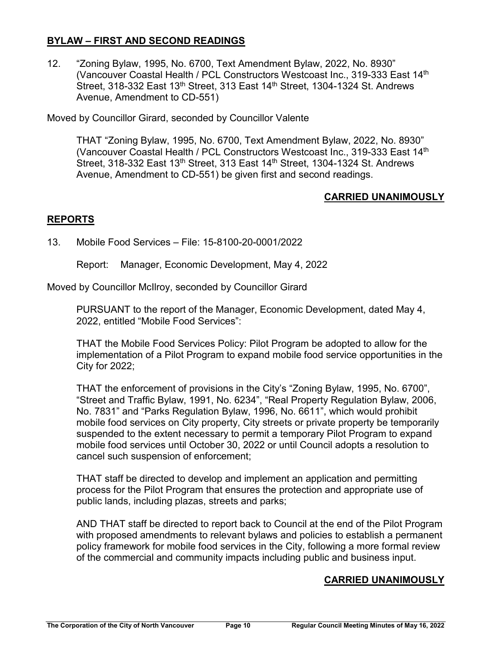## **BYLAW – FIRST AND SECOND READINGS**

12. "Zoning Bylaw, 1995, No. 6700, Text Amendment Bylaw, 2022, No. 8930" (Vancouver Coastal Health / PCL Constructors Westcoast Inc., 319-333 East 14<sup>th</sup> Street, 318-332 East 13<sup>th</sup> Street, 313 East 14<sup>th</sup> Street, 1304-1324 St. Andrews Avenue, Amendment to CD-551)

Moved by Councillor Girard, seconded by Councillor Valente

THAT "Zoning Bylaw, 1995, No. 6700, Text Amendment Bylaw, 2022, No. 8930" (Vancouver Coastal Health / PCL Constructors Westcoast Inc., 319-333 East 14<sup>th</sup> Street, 318-332 East 13<sup>th</sup> Street, 313 East 14<sup>th</sup> Street, 1304-1324 St. Andrews Avenue, Amendment to CD-551) be given first and second readings.

## **CARRIED UNANIMOUSLY**

# **REPORTS**

## 13. Mobile Food Services – File: 15-8100-20-0001/2022

Report: Manager, Economic Development, May 4, 2022

Moved by Councillor McIlroy, seconded by Councillor Girard

PURSUANT to the report of the Manager, Economic Development, dated May 4, 2022, entitled "Mobile Food Services":

THAT the Mobile Food Services Policy: Pilot Program be adopted to allow for the implementation of a Pilot Program to expand mobile food service opportunities in the City for 2022;

THAT the enforcement of provisions in the City's "Zoning Bylaw, 1995, No. 6700", "Street and Traffic Bylaw, 1991, No. 6234", "Real Property Regulation Bylaw, 2006, No. 7831" and "Parks Regulation Bylaw, 1996, No. 6611", which would prohibit mobile food services on City property, City streets or private property be temporarily suspended to the extent necessary to permit a temporary Pilot Program to expand mobile food services until October 30, 2022 or until Council adopts a resolution to cancel such suspension of enforcement;

THAT staff be directed to develop and implement an application and permitting process for the Pilot Program that ensures the protection and appropriate use of public lands, including plazas, streets and parks;

AND THAT staff be directed to report back to Council at the end of the Pilot Program with proposed amendments to relevant bylaws and policies to establish a permanent policy framework for mobile food services in the City, following a more formal review of the commercial and community impacts including public and business input.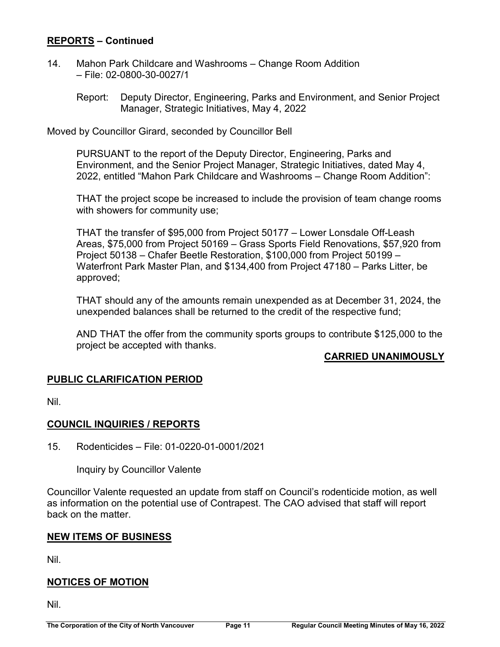- 14. Mahon Park Childcare and Washrooms Change Room Addition – File: 02-0800-30-0027/1
	- Report: Deputy Director, Engineering, Parks and Environment, and Senior Project Manager, Strategic Initiatives, May 4, 2022

Moved by Councillor Girard, seconded by Councillor Bell

PURSUANT to the report of the Deputy Director, Engineering, Parks and Environment, and the Senior Project Manager, Strategic Initiatives, dated May 4, 2022, entitled "Mahon Park Childcare and Washrooms – Change Room Addition":

THAT the project scope be increased to include the provision of team change rooms with showers for community use;

THAT the transfer of \$95,000 from Project 50177 – Lower Lonsdale Off-Leash Areas, \$75,000 from Project 50169 – Grass Sports Field Renovations, \$57,920 from Project 50138 – Chafer Beetle Restoration, \$100,000 from Project 50199 – Waterfront Park Master Plan, and \$134,400 from Project 47180 – Parks Litter, be approved;

THAT should any of the amounts remain unexpended as at December 31, 2024, the unexpended balances shall be returned to the credit of the respective fund;

AND THAT the offer from the community sports groups to contribute \$125,000 to the project be accepted with thanks.

# **CARRIED UNANIMOUSLY**

# **PUBLIC CLARIFICATION PERIOD**

Nil.

# **COUNCIL INQUIRIES / REPORTS**

15. Rodenticides – File: 01-0220-01-0001/2021

Inquiry by Councillor Valente

Councillor Valente requested an update from staff on Council's rodenticide motion, as well as information on the potential use of Contrapest. The CAO advised that staff will report back on the matter.

### **NEW ITEMS OF BUSINESS**

Nil.

# **NOTICES OF MOTION**

Nil.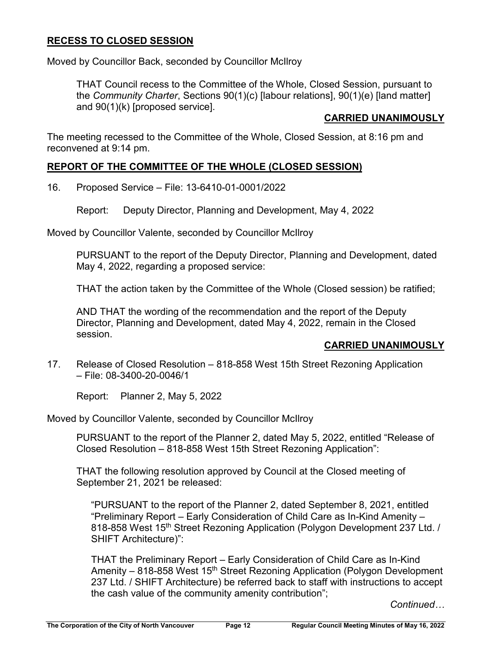## **RECESS TO CLOSED SESSION**

Moved by Councillor Back, seconded by Councillor McIlroy

THAT Council recess to the Committee of the Whole, Closed Session, pursuant to the *Community Charter*, Sections 90(1)(c) [labour relations], 90(1)(e) [land matter] and 90(1)(k) [proposed service].

## **CARRIED UNANIMOUSLY**

The meeting recessed to the Committee of the Whole, Closed Session, at 8:16 pm and reconvened at 9:14 pm.

### **REPORT OF THE COMMITTEE OF THE WHOLE (CLOSED SESSION)**

16. Proposed Service – File: 13-6410-01-0001/2022

Report: Deputy Director, Planning and Development, May 4, 2022

Moved by Councillor Valente, seconded by Councillor McIlroy

PURSUANT to the report of the Deputy Director, Planning and Development, dated May 4, 2022, regarding a proposed service:

THAT the action taken by the Committee of the Whole (Closed session) be ratified;

AND THAT the wording of the recommendation and the report of the Deputy Director, Planning and Development, dated May 4, 2022, remain in the Closed session.

### **CARRIED UNANIMOUSLY**

17. Release of Closed Resolution – 818-858 West 15th Street Rezoning Application – File: 08-3400-20-0046/1

Report: Planner 2, May 5, 2022

Moved by Councillor Valente, seconded by Councillor McIlroy

PURSUANT to the report of the Planner 2, dated May 5, 2022, entitled "Release of Closed Resolution – 818-858 West 15th Street Rezoning Application":

THAT the following resolution approved by Council at the Closed meeting of September 21, 2021 be released:

"PURSUANT to the report of the Planner 2, dated September 8, 2021, entitled "Preliminary Report – Early Consideration of Child Care as In-Kind Amenity – 818-858 West 15<sup>th</sup> Street Rezoning Application (Polygon Development 237 Ltd. / SHIFT Architecture)":

THAT the Preliminary Report – Early Consideration of Child Care as In-Kind Amenity – 818-858 West 15<sup>th</sup> Street Rezoning Application (Polygon Development 237 Ltd. / SHIFT Architecture) be referred back to staff with instructions to accept the cash value of the community amenity contribution";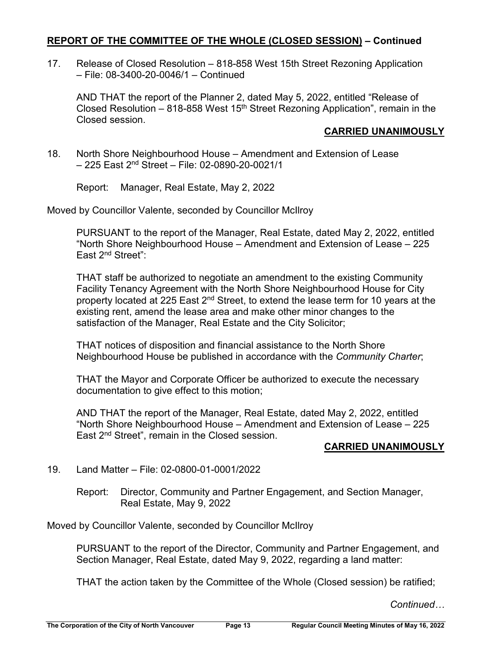## **REPORT OF THE COMMITTEE OF THE WHOLE (CLOSED SESSION) – Continued**

17. Release of Closed Resolution – 818-858 West 15th Street Rezoning Application – File: 08-3400-20-0046/1 – Continued

AND THAT the report of the Planner 2, dated May 5, 2022, entitled "Release of Closed Resolution – 818-858 West  $15<sup>th</sup>$  Street Rezoning Application", remain in the Closed session.

# **CARRIED UNANIMOUSLY**

18. North Shore Neighbourhood House – Amendment and Extension of Lease  $-$  225 East 2<sup>nd</sup> Street – File: 02-0890-20-0021/1

Report: Manager, Real Estate, May 2, 2022

Moved by Councillor Valente, seconded by Councillor McIlroy

PURSUANT to the report of the Manager, Real Estate, dated May 2, 2022, entitled "North Shore Neighbourhood House – Amendment and Extension of Lease – 225 East 2nd Street":

THAT staff be authorized to negotiate an amendment to the existing Community Facility Tenancy Agreement with the North Shore Neighbourhood House for City property located at 225 East 2<sup>nd</sup> Street, to extend the lease term for 10 years at the existing rent, amend the lease area and make other minor changes to the satisfaction of the Manager, Real Estate and the City Solicitor;

THAT notices of disposition and financial assistance to the North Shore Neighbourhood House be published in accordance with the *Community Charter*;

THAT the Mayor and Corporate Officer be authorized to execute the necessary documentation to give effect to this motion;

AND THAT the report of the Manager, Real Estate, dated May 2, 2022, entitled "North Shore Neighbourhood House – Amendment and Extension of Lease – 225 East 2<sup>nd</sup> Street", remain in the Closed session.

# **CARRIED UNANIMOUSLY**

# 19. Land Matter – File: 02-0800-01-0001/2022

Report: Director, Community and Partner Engagement, and Section Manager, Real Estate, May 9, 2022

Moved by Councillor Valente, seconded by Councillor McIlroy

PURSUANT to the report of the Director, Community and Partner Engagement, and Section Manager, Real Estate, dated May 9, 2022, regarding a land matter:

THAT the action taken by the Committee of the Whole (Closed session) be ratified;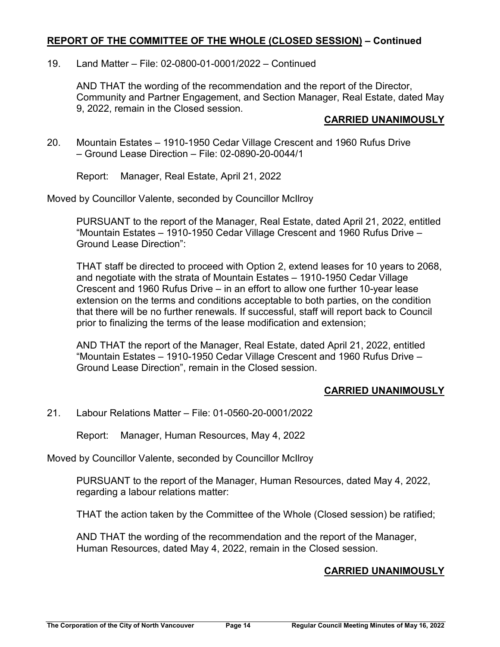## **REPORT OF THE COMMITTEE OF THE WHOLE (CLOSED SESSION) – Continued**

## 19. Land Matter – File: 02-0800-01-0001/2022 – Continued

AND THAT the wording of the recommendation and the report of the Director, Community and Partner Engagement, and Section Manager, Real Estate, dated May 9, 2022, remain in the Closed session.

### **CARRIED UNANIMOUSLY**

20. Mountain Estates – 1910-1950 Cedar Village Crescent and 1960 Rufus Drive – Ground Lease Direction – File: 02-0890-20-0044/1

Report: Manager, Real Estate, April 21, 2022

Moved by Councillor Valente, seconded by Councillor McIlroy

PURSUANT to the report of the Manager, Real Estate, dated April 21, 2022, entitled "Mountain Estates – 1910-1950 Cedar Village Crescent and 1960 Rufus Drive – Ground Lease Direction":

THAT staff be directed to proceed with Option 2, extend leases for 10 years to 2068, and negotiate with the strata of Mountain Estates – 1910-1950 Cedar Village Crescent and 1960 Rufus Drive – in an effort to allow one further 10-year lease extension on the terms and conditions acceptable to both parties, on the condition that there will be no further renewals. If successful, staff will report back to Council prior to finalizing the terms of the lease modification and extension;

AND THAT the report of the Manager, Real Estate, dated April 21, 2022, entitled "Mountain Estates – 1910-1950 Cedar Village Crescent and 1960 Rufus Drive – Ground Lease Direction", remain in the Closed session.

# **CARRIED UNANIMOUSLY**

21. Labour Relations Matter – File: 01-0560-20-0001/2022

Report: Manager, Human Resources, May 4, 2022

Moved by Councillor Valente, seconded by Councillor McIlroy

PURSUANT to the report of the Manager, Human Resources, dated May 4, 2022, regarding a labour relations matter:

THAT the action taken by the Committee of the Whole (Closed session) be ratified;

AND THAT the wording of the recommendation and the report of the Manager, Human Resources, dated May 4, 2022, remain in the Closed session.